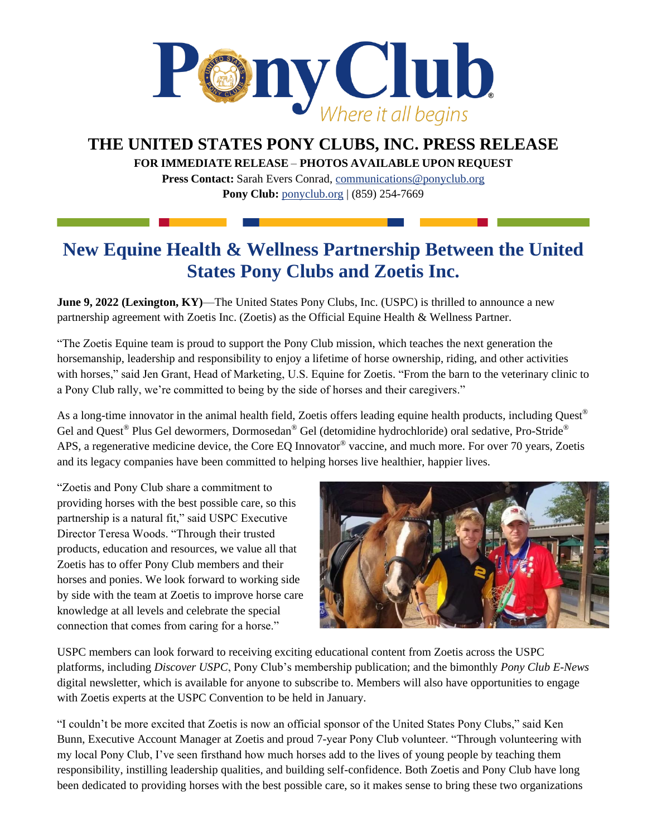

## **THE UNITED STATES PONY CLUBS, INC. PRESS RELEASE**

**FOR IMMEDIATE RELEASE** – **PHOTOS AVAILABLE UPON REQUEST** 

**Press Contact:** Sarah Evers Conrad, [communications@ponyclub.org](mailto:communications@ponyclub.org) **Pony Club:** [ponyclub.org](https://www.ponyclub.org/) | (859) 254-7669

## **New Equine Health & Wellness Partnership Between the United States Pony Clubs and Zoetis Inc.**

**June 9, 2022 (Lexington, KY)**—The United States Pony Clubs, Inc. (USPC) is thrilled to announce a new partnership agreement with Zoetis Inc. (Zoetis) as the Official Equine Health & Wellness Partner.

"The Zoetis Equine team is proud to support the Pony Club mission, which teaches the next generation the horsemanship, leadership and responsibility to enjoy a lifetime of horse ownership, riding, and other activities with horses," said Jen Grant, Head of Marketing, U.S. Equine for Zoetis. "From the barn to the veterinary clinic to a Pony Club rally, we're committed to being by the side of horses and their caregivers."

As a long-time innovator in the animal health field, Zoetis offers leading equine health products, including Quest<sup>®</sup> Gel and Quest<sup>®</sup> Plus Gel dewormers, Dormosedan<sup>®</sup> Gel (detomidine hydrochloride) oral sedative, Pro-Stride<sup>®</sup> APS, a regenerative medicine device, the Core EQ Innovator® vaccine, and much more. For over 70 years, Zoetis and its legacy companies have been committed to helping horses live healthier, happier lives.

"Zoetis and Pony Club share a commitment to providing horses with the best possible care, so this partnership is a natural fit," said USPC Executive Director Teresa Woods. "Through their trusted products, education and resources, we value all that Zoetis has to offer Pony Club members and their horses and ponies. We look forward to working side by side with the team at Zoetis to improve horse care knowledge at all levels and celebrate the special connection that comes from caring for a horse."



USPC members can look forward to receiving exciting educational content from Zoetis across the USPC platforms, including *Discover USPC*, Pony Club's membership publication; and the bimonthly *Pony Club E-News* digital newsletter, which is available for anyone to subscribe to. Members will also have opportunities to engage with Zoetis experts at the USPC Convention to be held in January.

"I couldn't be more excited that Zoetis is now an official sponsor of the United States Pony Clubs," said Ken Bunn, Executive Account Manager at Zoetis and proud 7-year Pony Club volunteer. "Through volunteering with my local Pony Club, I've seen firsthand how much horses add to the lives of young people by teaching them responsibility, instilling leadership qualities, and building self-confidence. Both Zoetis and Pony Club have long been dedicated to providing horses with the best possible care, so it makes sense to bring these two organizations